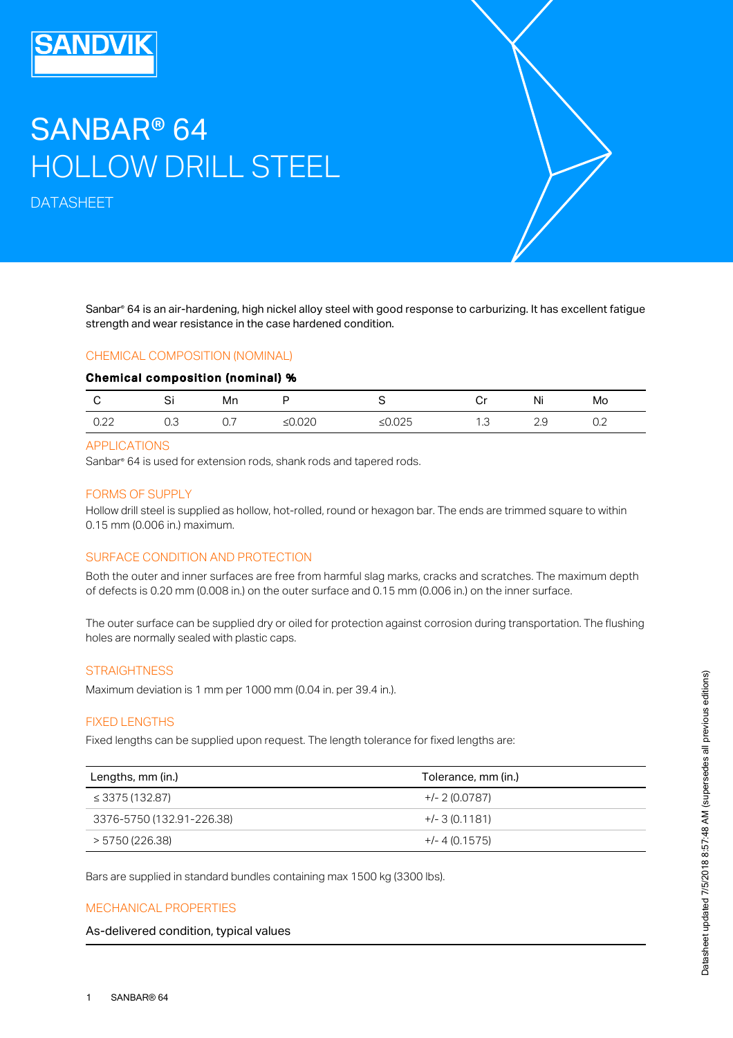# SANBAR® 64 HOLLOW DRILL STEEL

DATASHEET

Sanbar® 64 is an air-hardening, high nickel alloy steel with good response to carburizing. It has excellent fatigue strength and wear resistance in the case hardened condition.

#### CHEMICAL COMPOSITION (NOMINAL)

#### Chemical composition (nominal) %

| U    | اب  | Mn  |               |              | ⌒…<br>◡ | Ni          | Mo |
|------|-----|-----|---------------|--------------|---------|-------------|----|
| 0.22 | O.З | ◡., | നാറ<br>∆∪.∪∠∨ | ハつに<br>≥∪.∪∠ | ں ،     | n n<br>ں ،ے | ∽… |

#### APPLICATIONS

Sanbar® 64 is used for extension rods, shank rods and tapered rods.

#### FORMS OF SUPPLY

Hollow drill steel is supplied as hollow, hot-rolled, round or hexagon bar. The ends are trimmed square to within 0.15 mm (0.006 in.) maximum.

#### SURFACE CONDITION AND PROTECTION

Both the outer and inner surfaces are free from harmful slag marks, cracks and scratches. The maximum depth of defects is 0.20 mm (0.008 in.) on the outer surface and 0.15 mm (0.006 in.) on the inner surface.

The outer surface can be supplied dry or oiled for protection against corrosion during transportation. The flushing holes are normally sealed with plastic caps.

#### **STRAIGHTNESS**

Maximum deviation is 1 mm per 1000 mm (0.04 in. per 39.4 in.).

#### FIXED LENGTHS

Fixed lengths can be supplied upon request. The length tolerance for fixed lengths are:

| Lengths, mm (in.)         | Tolerance, mm (in.) |
|---------------------------|---------------------|
| $\leq$ 3375 (132.87)      | $+/- 2 (0.0787)$    |
| 3376-5750 (132.91-226.38) | $+/-$ 3 (0.1181)    |
| > 5750 (226.38)           | $+/- 4(0.1575)$     |

Bars are supplied in standard bundles containing max 1500 kg (3300 lbs).

#### MECHANICAL PROPERTIES

As-delivered condition, typical values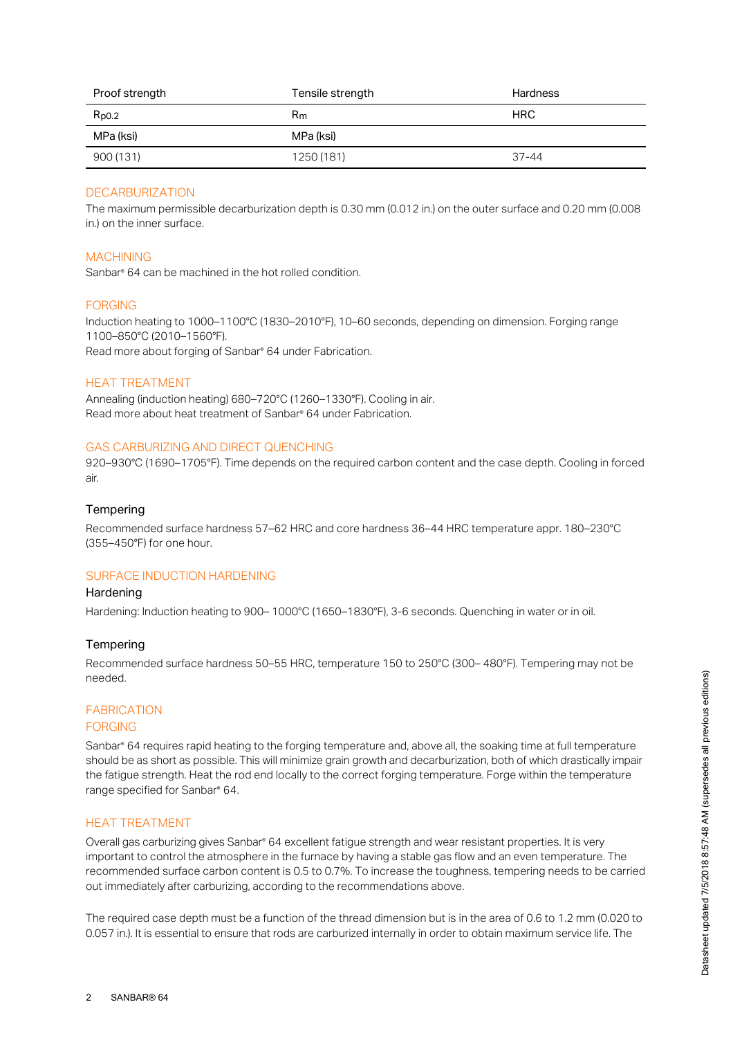| Proof strength | Tensile strength | <b>Hardness</b> |
|----------------|------------------|-----------------|
| $R_{p0.2}$     | R <sub>m</sub>   | <b>HRC</b>      |
| MPa (ksi)      | MPa (ksi)        |                 |
| 900 (131)      | 1250 (181)       | $37 - 44$       |

# DECARBURIZATION

The maximum permissible decarburization depth is 0.30 mm (0.012 in.) on the outer surface and 0.20 mm (0.008 in.) on the inner surface.

#### MACHINING

Sanbar<sup>®</sup> 64 can be machined in the hot rolled condition.

#### FORGING

Induction heating to 1000–1100°C (1830–2010°F), 10–60 seconds, depending on dimension. Forging range 1100–850°C (2010–1560°F). Read more about forging of Sanbar<sup>®</sup> 64 under Fabrication.

#### HEAT TREATMENT

Annealing (induction heating) 680–720°C (1260–1330°F). Cooling in air. Read more about heat treatment of Sanbar® 64 under Fabrication.

#### GAS CARBURIZING AND DIRECT QUENCHING

920–930°C (1690–1705°F). Time depends on the required carbon content and the case depth. Cooling in forced air.

#### **Tempering**

Recommended surface hardness 57–62 HRC and core hardness 36–44 HRC temperature appr. 180–230°C (355–450°F) for one hour.

# SURFACE INDUCTION HARDENING

#### **Hardening**

Hardening: Induction heating to 900– 1000°C (1650–1830°F), 3-6 seconds. Quenching in water or in oil.

#### **Tempering**

Recommended surface hardness 50–55 HRC, temperature 150 to 250°C (300– 480°F). Tempering may not be needed.

# FABRICATION

# FORGING

Sanbar® 64 requires rapid heating to the forging temperature and, above all, the soaking time at full temperature should be as short as possible. This will minimize grain growth and decarburization, both of which drastically impair the fatigue strength. Heat the rod end locally to the correct forging temperature. Forge within the temperature range specified for Sanbar® 64.

#### HEAT TREATMENT

Overall gas carburizing gives Sanbar® 64 excellent fatigue strength and wear resistant properties. It is very important to control the atmosphere in the furnace by having a stable gas flow and an even temperature. The recommended surface carbon content is 0.5 to 0.7%. To increase the toughness, tempering needs to be carried out immediately after carburizing, according to the recommendations above.

The required case depth must be a function of the thread dimension but is in the area of 0.6 to 1.2 mm (0.020 to 0.057 in.). It is essential to ensure that rods are carburized internally in order to obtain maximum service life. The